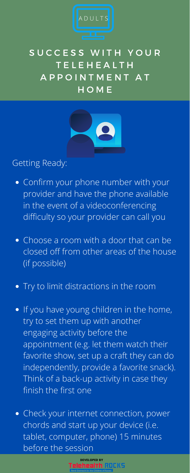- Confirm your phone number with your provider and have the phone available in the event of a videoconferencing difficulty so your provider can call you
- Choose a room with a door that can be closed off from other areas of the house (if possible)



### SUCCESS WITH YOUR **TELEHEALTH** A P P O I N T M E N T A T H O M E



- Try to limit distractions in the room
- If you have young children in the home, try to set them up with another engaging activity before the appointment (e.g. let them watch their favorite show, set up a craft they can do independently, provide a favorite snack). Think of a back-up activity in case they finish the first one
- Check your internet connection, power chords and start up your device (i.e. tablet, computer, phone) 15 minutes before the session

#### Getting Ready:



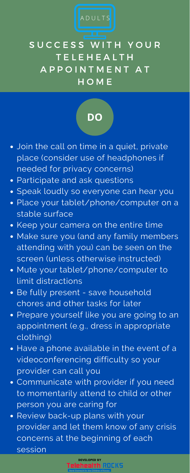- Join the call on time in a quiet, private place (consider use of headphones if needed for privacy concerns)
- Participate and ask questions
- Speak loudly so everyone can hear you
- Place your tablet/phone/computer on a stable surface
- Keep your camera on the entire time
- Make sure you (and any family members attending with you) can be seen on the screen (unless otherwise instructed)
- Mute your tablet/phone/computer to limit distractions
- Be fully present save household chores and other tasks for later
- **Prepare yourself like you are going to an** appointment (e.g., dress in appropriate clothing)
- Have a phone available in the event of a videoconferencing difficulty so your provider can call you
- Communicate with provider if you need to momentarily attend to child or other person you are caring for
- Review back-up plans with your provider and let them know of any crisis concerns at the beginning of each session

## SUCCESS WITH YOUR **TELEHEALTH** A P P O I N T M E N T A T H O M E





# **DO**